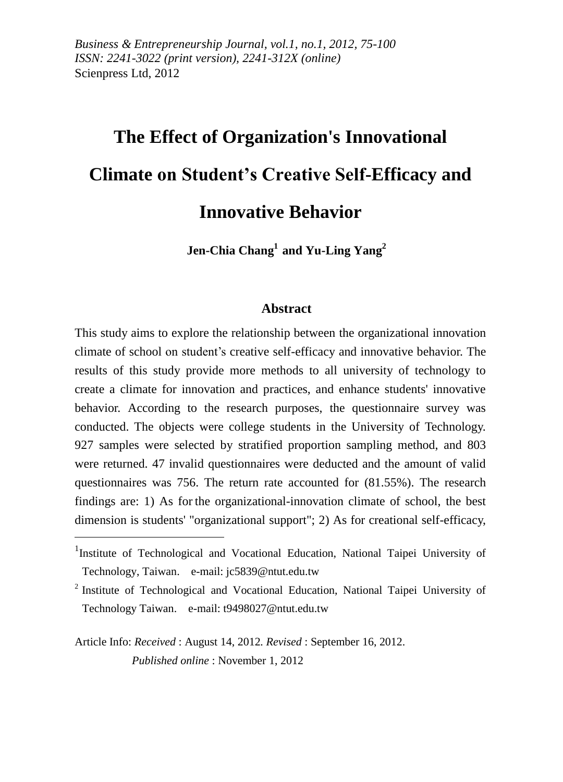*Business & Entrepreneurship Journal, vol.1, no.1, 2012, 75-100 ISSN: 2241-3022 (print version), 2241-312X (online)* Scienpress Ltd, 2012

# **The Effect of Organization's Innovational Climate on Student's Creative Self-Efficacy and Innovative Behavior**

**Jen-Chia Chang<sup>1</sup> and Yu-Ling Yang<sup>2</sup>**

#### **Abstract**

This study aims to explore the relationship between the organizational innovation climate of school on student's creative self-efficacy and innovative behavior. The results of this study provide more methods to all university of technology to create a climate for innovation and practices, and enhance students' innovative behavior. According to the research purposes, the questionnaire survey was conducted. The objects were college students in the University of Technology. 927 samples were selected by stratified proportion sampling method, and 803 were returned. 47 invalid questionnaires were deducted and the amount of valid questionnaires was 756. The return rate accounted for (81.55%). The research findings are: 1) As for the organizational-innovation climate of school, the best dimension is students' "organizational support"; 2) As for creational self-efficacy,

Article Info: *Received* : August 14, 2012*. Revised* : September 16, 2012.  *Published online* : November 1, 2012

<u>.</u>

<sup>&</sup>lt;sup>1</sup>Institute of Technological and Vocational Education, National Taipei University of Technology, Taiwan. e-mail: jc5839@ntut.edu.tw

<sup>&</sup>lt;sup>2</sup> Institute of Technological and Vocational Education, National Taipei University of Technology Taiwan. e-mail: [t9498027@ntut.edu.tw](mailto:t9498027@ntut.edu.tw)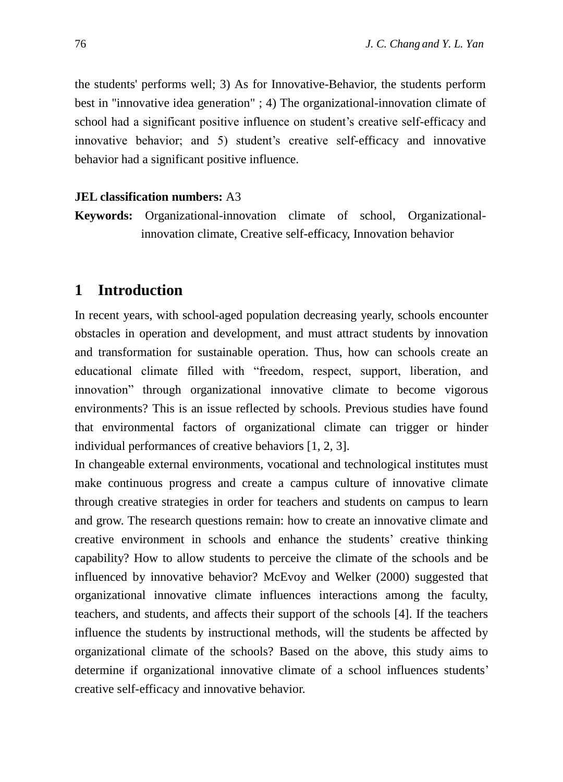the students' performs well; 3) As for Innovative-Behavior, the students perform best in "innovative idea generation" ; 4) The organizational-innovation climate of school had a significant positive influence on student's creative self-efficacy and innovative behavior; and 5) student's creative self-efficacy and innovative behavior had a significant positive influence.

#### **JEL classification numbers:** A3

**Keywords:** Organizational-innovation climate of school, Organizationalinnovation climate, Creative self-efficacy, Innovation behavior

#### **1 Introduction**

In recent years, with school-aged population decreasing yearly, schools encounter obstacles in operation and development, and must attract students by innovation and transformation for sustainable operation. Thus, how can schools create an educational climate filled with "freedom, respect, support, liberation, and innovation" through organizational innovative climate to become vigorous environments? This is an issue reflected by schools. Previous studies have found that environmental factors of organizational climate can trigger or hinder individual performances of creative behaviors [1, 2, 3].

In changeable external environments, vocational and technological institutes must make continuous progress and create a campus culture of innovative climate through creative strategies in order for teachers and students on campus to learn and grow. The research questions remain: how to create an innovative climate and creative environment in schools and enhance the students' creative thinking capability? How to allow students to perceive the climate of the schools and be influenced by innovative behavior? McEvoy and Welker (2000) suggested that organizational innovative climate influences interactions among the faculty, teachers, and students, and affects their support of the schools [4]. If the teachers influence the students by instructional methods, will the students be affected by organizational climate of the schools? Based on the above, this study aims to determine if organizational innovative climate of a school influences students' creative self-efficacy and innovative behavior.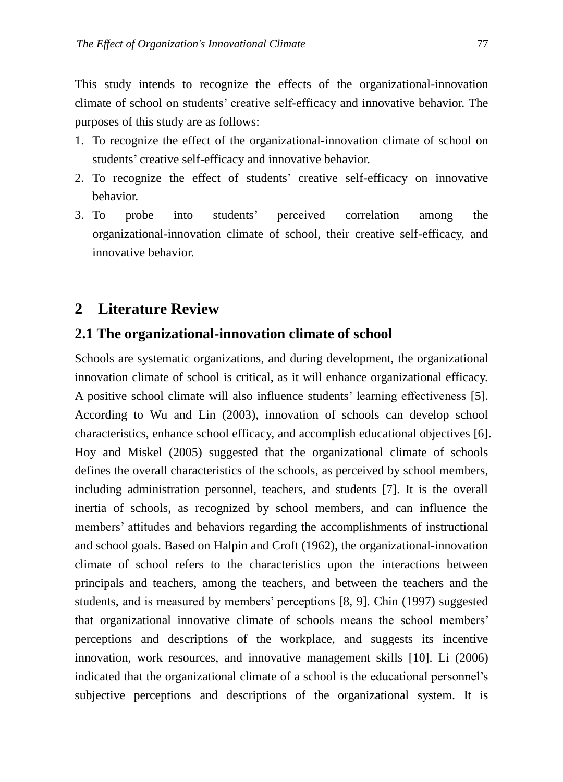This study intends to recognize the effects of the organizational-innovation climate of school on students' creative self-efficacy and innovative behavior. The purposes of this study are as follows:

- 1. To recognize the effect of the organizational-innovation climate of school on students' creative self-efficacy and innovative behavior.
- 2. To recognize the effect of students' creative self-efficacy on innovative behavior.
- 3. To probe into students' perceived correlation among the organizational-innovation climate of school, their creative self-efficacy, and innovative behavior.

#### **2 Literature Review**

# **2.1 The organizational-innovation climate of school**

Schools are systematic organizations, and during development, the organizational innovation climate of school is critical, as it will enhance organizational efficacy. A positive school climate will also influence students' learning effectiveness [5]. According to Wu and Lin (2003), innovation of schools can develop school characteristics, enhance school efficacy, and accomplish educational objectives [6]. Hoy and Miskel (2005) suggested that the organizational climate of schools defines the overall characteristics of the schools, as perceived by school members, including administration personnel, teachers, and students [7]. It is the overall inertia of schools, as recognized by school members, and can influence the members' attitudes and behaviors regarding the accomplishments of instructional and school goals. Based on Halpin and Croft (1962), the organizational-innovation climate of school refers to the characteristics upon the interactions between principals and teachers, among the teachers, and between the teachers and the students, and is measured by members' perceptions [8, 9]. Chin (1997) suggested that organizational innovative climate of schools means the school members' perceptions and descriptions of the workplace, and suggests its incentive innovation, work resources, and innovative management skills [10]. Li (2006) indicated that the organizational climate of a school is the educational personnel's subjective perceptions and descriptions of the organizational system. It is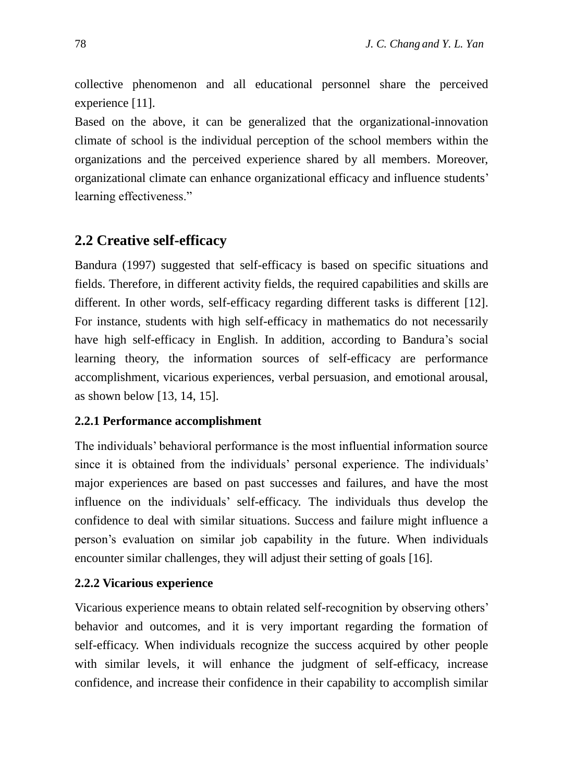collective phenomenon and all educational personnel share the perceived experience [11].

Based on the above, it can be generalized that the organizational-innovation climate of school is the individual perception of the school members within the organizations and the perceived experience shared by all members. Moreover, organizational climate can enhance organizational efficacy and influence students' learning effectiveness."

## **2.2 Creative self-efficacy**

Bandura (1997) suggested that self-efficacy is based on specific situations and fields. Therefore, in different activity fields, the required capabilities and skills are different. In other words, self-efficacy regarding different tasks is different [12]. For instance, students with high self-efficacy in mathematics do not necessarily have high self-efficacy in English. In addition, according to Bandura's social learning theory, the information sources of self-efficacy are performance accomplishment, vicarious experiences, verbal persuasion, and emotional arousal, as shown below [13, 14, 15].

#### **2.2.1 Performance accomplishment**

The individuals' behavioral performance is the most influential information source since it is obtained from the individuals' personal experience. The individuals' major experiences are based on past successes and failures, and have the most influence on the individuals' self-efficacy. The individuals thus develop the confidence to deal with similar situations. Success and failure might influence a person's evaluation on similar job capability in the future. When individuals encounter similar challenges, they will adjust their setting of goals [16].

#### **2.2.2 Vicarious experience**

Vicarious experience means to obtain related self-recognition by observing others' behavior and outcomes, and it is very important regarding the formation of self-efficacy. When individuals recognize the success acquired by other people with similar levels, it will enhance the judgment of self-efficacy, increase confidence, and increase their confidence in their capability to accomplish similar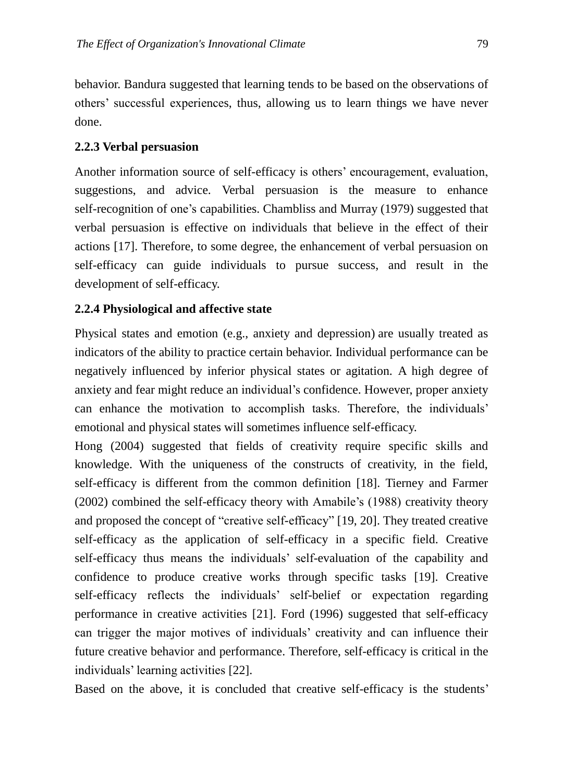behavior. Bandura suggested that learning tends to be based on the observations of others' successful experiences, thus, allowing us to learn things we have never done.

#### **2.2.3 Verbal persuasion**

Another information source of self-efficacy is others' encouragement, evaluation, suggestions, and advice. Verbal persuasion is the measure to enhance self-recognition of one's capabilities. Chambliss and Murray (1979) suggested that verbal persuasion is effective on individuals that believe in the effect of their actions [17]. Therefore, to some degree, the enhancement of verbal persuasion on self-efficacy can guide individuals to pursue success, and result in the development of self-efficacy.

#### **2.2.4 Physiological and affective state**

Physical states and emotion (e.g., anxiety and depression) are usually treated as indicators of the ability to practice certain behavior. Individual performance can be negatively influenced by inferior physical states or agitation. A high degree of anxiety and fear might reduce an individual's confidence. However, proper anxiety can enhance the motivation to accomplish tasks. Therefore, the individuals' emotional and physical states will sometimes influence self-efficacy.

Hong (2004) suggested that fields of creativity require specific skills and knowledge. With the uniqueness of the constructs of creativity, in the field, self-efficacy is different from the common definition [18]. Tierney and Farmer (2002) combined the self-efficacy theory with Amabile's (1988) creativity theory and proposed the concept of "creative self-efficacy" [19, 20]. They treated creative self-efficacy as the application of self-efficacy in a specific field. Creative self-efficacy thus means the individuals' self-evaluation of the capability and confidence to produce creative works through specific tasks [19]. Creative self-efficacy reflects the individuals' self-belief or expectation regarding performance in creative activities [21]. Ford (1996) suggested that self-efficacy can trigger the major motives of individuals' creativity and can influence their future creative behavior and performance. Therefore, self-efficacy is critical in the individuals' learning activities [22].

Based on the above, it is concluded that creative self-efficacy is the students'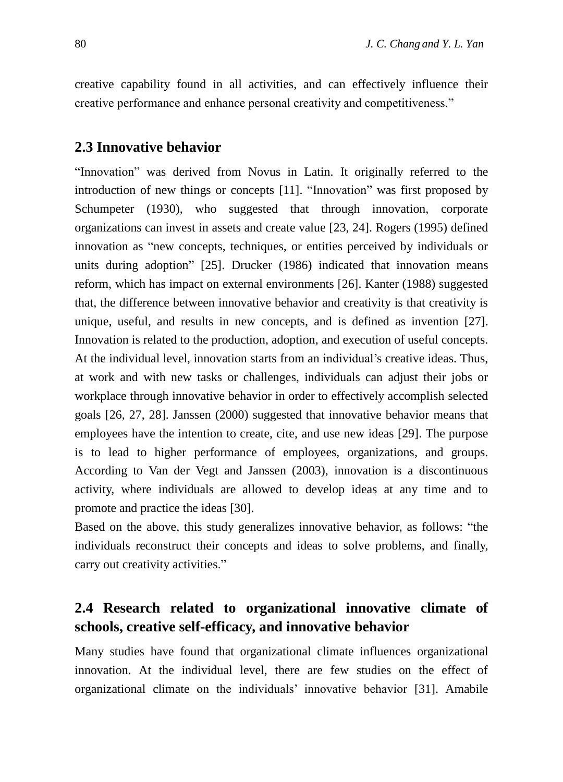creative capability found in all activities, and can effectively influence their creative performance and enhance personal creativity and competitiveness."

#### **2.3 Innovative behavior**

"Innovation" was derived from Novus in Latin. It originally referred to the introduction of new things or concepts [11]. "Innovation" was first proposed by Schumpeter (1930), who suggested that through innovation, corporate organizations can invest in assets and create value [23, 24]. Rogers (1995) defined innovation as "new concepts, techniques, or entities perceived by individuals or units during adoption" [25]. Drucker (1986) indicated that innovation means reform, which has impact on external environments [26]. Kanter (1988) suggested that, the difference between innovative behavior and creativity is that creativity is unique, useful, and results in new concepts, and is defined as invention [27]. Innovation is related to the production, adoption, and execution of useful concepts. At the individual level, innovation starts from an individual's creative ideas. Thus, at work and with new tasks or challenges, individuals can adjust their jobs or workplace through innovative behavior in order to effectively accomplish selected goals [26, 27, 28]. Janssen (2000) suggested that innovative behavior means that employees have the intention to create, cite, and use new ideas [29]. The purpose is to lead to higher performance of employees, organizations, and groups. According to Van der Vegt and Janssen (2003), innovation is a discontinuous activity, where individuals are allowed to develop ideas at any time and to promote and practice the ideas [30].

Based on the above, this study generalizes innovative behavior, as follows: "the individuals reconstruct their concepts and ideas to solve problems, and finally, carry out creativity activities."

# **2.4 Research related to organizational innovative climate of schools, creative self-efficacy, and innovative behavior**

Many studies have found that organizational climate influences organizational innovation. At the individual level, there are few studies on the effect of organizational climate on the individuals' innovative behavior [31]. Amabile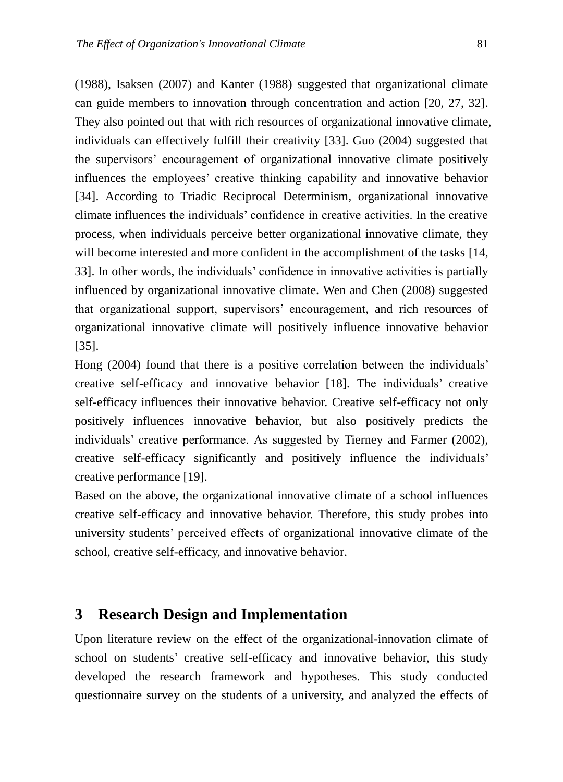(1988), Isaksen (2007) and Kanter (1988) suggested that organizational climate can guide members to innovation through concentration and action [20, 27, 32]. They also pointed out that with rich resources of organizational innovative climate, individuals can effectively fulfill their creativity [33]. Guo (2004) suggested that the supervisors' encouragement of organizational innovative climate positively influences the employees' creative thinking capability and innovative behavior [34]. According to Triadic Reciprocal Determinism, organizational innovative climate influences the individuals' confidence in creative activities. In the creative process, when individuals perceive better organizational innovative climate, they will become interested and more confident in the accomplishment of the tasks [14, 33]. In other words, the individuals' confidence in innovative activities is partially influenced by organizational innovative climate. Wen and Chen (2008) suggested that organizational support, supervisors' encouragement, and rich resources of organizational innovative climate will positively influence innovative behavior [35].

Hong (2004) found that there is a positive correlation between the individuals' creative self-efficacy and innovative behavior [18]. The individuals' creative self-efficacy influences their innovative behavior. Creative self-efficacy not only positively influences innovative behavior, but also positively predicts the individuals' creative performance. As suggested by Tierney and Farmer (2002), creative self-efficacy significantly and positively influence the individuals' creative performance [19].

Based on the above, the organizational innovative climate of a school influences creative self-efficacy and innovative behavior. Therefore, this study probes into university students' perceived effects of organizational innovative climate of the school, creative self-efficacy, and innovative behavior.

# **3 Research Design and Implementation**

Upon literature review on the effect of the organizational-innovation climate of school on students' creative self-efficacy and innovative behavior, this study developed the research framework and hypotheses. This study conducted questionnaire survey on the students of a university, and analyzed the effects of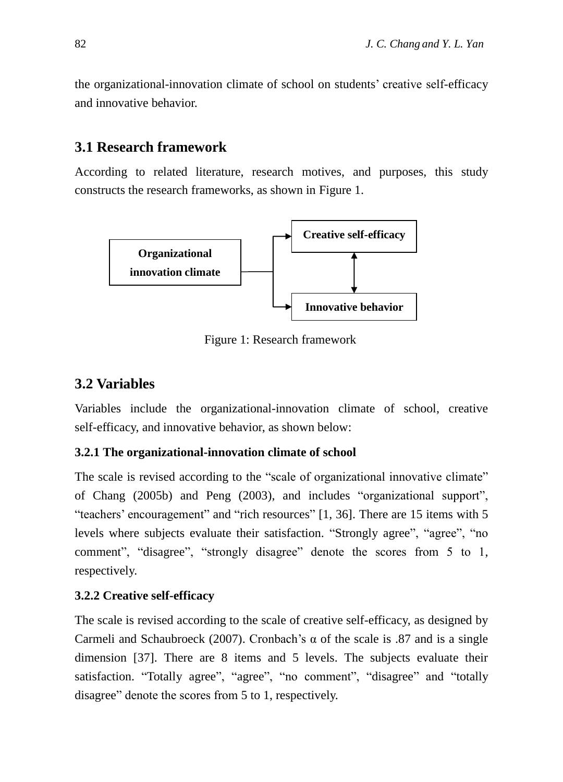the organizational-innovation climate of school on students' creative self-efficacy and innovative behavior.

# **3.1 Research framework**

According to related literature, research motives, and purposes, this study constructs the research frameworks, as shown in Figure 1.



Figure 1: Research framework

## **3.2 Variables**

Variables include the organizational-innovation climate of school, creative self-efficacy, and innovative behavior, as shown below:

#### **3.2.1 The organizational-innovation climate of school**

The scale is revised according to the "scale of organizational innovative climate" of Chang (2005b) and Peng (2003), and includes "organizational support", "teachers' encouragement" and "rich resources" [1, 36]. There are 15 items with 5 levels where subjects evaluate their satisfaction. "Strongly agree", "agree", "no comment", "disagree", "strongly disagree" denote the scores from 5 to 1, respectively.

#### **3.2.2 Creative self-efficacy**

The scale is revised according to the scale of creative self-efficacy, as designed by Carmeli and Schaubroeck (2007). Cronbach's  $\alpha$  of the scale is .87 and is a single dimension [37]. There are 8 items and 5 levels. The subjects evaluate their satisfaction. "Totally agree", "agree", "no comment", "disagree" and "totally disagree" denote the scores from 5 to 1, respectively.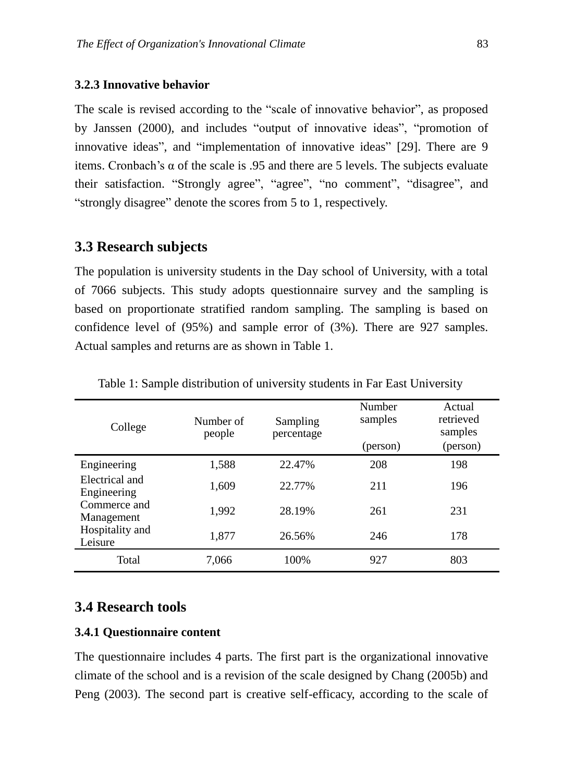#### **3.2.3 Innovative behavior**

The scale is revised according to the "scale of innovative behavior", as proposed by Janssen (2000), and includes "output of innovative ideas", "promotion of innovative ideas", and "implementation of innovative ideas" [29]. There are 9 items. Cronbach's  $\alpha$  of the scale is .95 and there are 5 levels. The subjects evaluate their satisfaction. "Strongly agree", "agree", "no comment", "disagree", and "strongly disagree" denote the scores from 5 to 1, respectively.

#### **3.3 Research subjects**

The population is university students in the Day school of University, with a total of 7066 subjects. This study adopts questionnaire survey and the sampling is based on proportionate stratified random sampling. The sampling is based on confidence level of (95%) and sample error of (3%). There are 927 samples. Actual samples and returns are as shown in Table 1.

| College                       | Number of<br>people | Sampling<br>percentage | Number<br>samples<br>(person) | Actual<br>retrieved<br>samples<br>(person) |
|-------------------------------|---------------------|------------------------|-------------------------------|--------------------------------------------|
| Engineering                   | 1,588               | 22.47%                 | 208                           | 198                                        |
| Electrical and<br>Engineering | 1,609               | 22.77%                 | 211                           | 196                                        |
| Commerce and<br>Management    | 1,992               | 28.19%                 | 261                           | 231                                        |
| Hospitality and<br>Leisure    | 1,877               | 26.56%                 | 246                           | 178                                        |
| Total                         | 7,066               | 100%                   | 927                           | 803                                        |

Table 1: Sample distribution of university students in Far East University

#### **3.4 Research tools**

#### **3.4.1 Questionnaire content**

The questionnaire includes 4 parts. The first part is the organizational innovative climate of the school and is a revision of the scale designed by Chang (2005b) and Peng (2003). The second part is creative self-efficacy, according to the scale of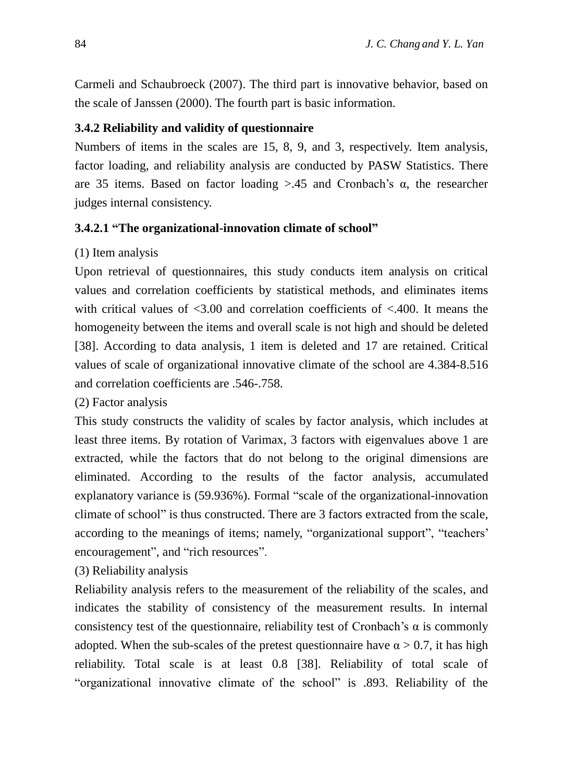Carmeli and Schaubroeck (2007). The third part is innovative behavior, based on the scale of Janssen (2000). The fourth part is basic information.

#### **3.4.2 Reliability and validity of questionnaire**

Numbers of items in the scales are 15, 8, 9, and 3, respectively. Item analysis, factor loading, and reliability analysis are conducted by PASW Statistics. There are 35 items. Based on factor loading  $> 0.45$  and Cronbach's  $\alpha$ , the researcher judges internal consistency.

#### **3.4.2.1 "The organizational-innovation climate of school"**

#### (1) Item analysis

Upon retrieval of questionnaires, this study conducts item analysis on critical values and correlation coefficients by statistical methods, and eliminates items with critical values of  $\langle 3.00 \rangle$  and correlation coefficients of  $\langle 400 \rangle$ . It means the homogeneity between the items and overall scale is not high and should be deleted [38]. According to data analysis, 1 item is deleted and 17 are retained. Critical values of scale of organizational innovative climate of the school are 4.384-8.516 and correlation coefficients are .546-.758.

#### (2) Factor analysis

This study constructs the validity of scales by factor analysis, which includes at least three items. By rotation of Varimax, 3 factors with eigenvalues above 1 are extracted, while the factors that do not belong to the original dimensions are eliminated. According to the results of the factor analysis, accumulated explanatory variance is (59.936%). Formal "scale of the organizational-innovation climate of school" is thus constructed. There are 3 factors extracted from the scale, according to the meanings of items; namely, "organizational support", "teachers' encouragement", and "rich resources".

(3) Reliability analysis

Reliability analysis refers to the measurement of the reliability of the scales, and indicates the stability of consistency of the measurement results. In internal consistency test of the questionnaire, reliability test of Cronbach's  $\alpha$  is commonly adopted. When the sub-scales of the pretest questionnaire have  $\alpha > 0.7$ , it has high reliability. Total scale is at least 0.8 [38]. Reliability of total scale of "organizational innovative climate of the school" is .893. Reliability of the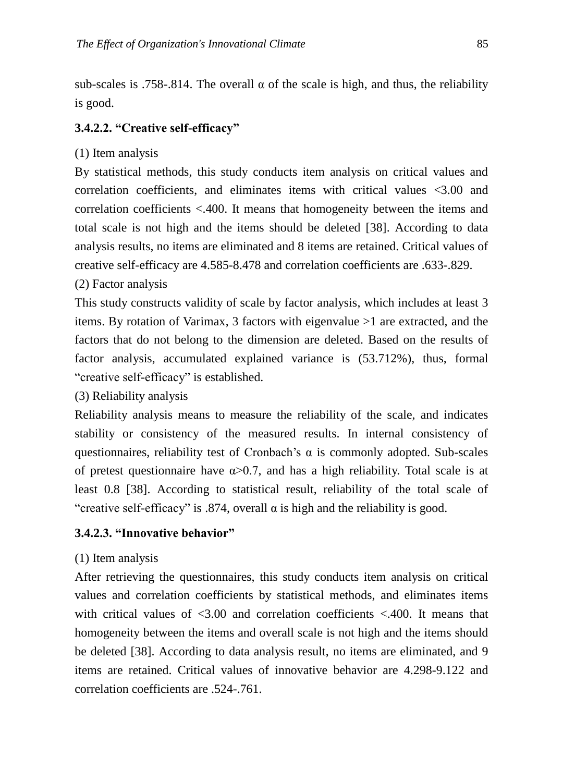sub-scales is .758-.814. The overall  $\alpha$  of the scale is high, and thus, the reliability is good.

#### **3.4.2.2. "Creative self-efficacy"**

(1) Item analysis

By statistical methods, this study conducts item analysis on critical values and correlation coefficients, and eliminates items with critical values <3.00 and correlation coefficients <.400. It means that homogeneity between the items and total scale is not high and the items should be deleted [38]. According to data analysis results, no items are eliminated and 8 items are retained. Critical values of creative self-efficacy are 4.585-8.478 and correlation coefficients are .633-.829.

#### (2) Factor analysis

This study constructs validity of scale by factor analysis, which includes at least 3 items. By rotation of Varimax, 3 factors with eigenvalue >1 are extracted, and the factors that do not belong to the dimension are deleted. Based on the results of factor analysis, accumulated explained variance is (53.712%), thus, formal "creative self-efficacy" is established.

(3) Reliability analysis

Reliability analysis means to measure the reliability of the scale, and indicates stability or consistency of the measured results. In internal consistency of questionnaires, reliability test of Cronbach's  $\alpha$  is commonly adopted. Sub-scales of pretest questionnaire have  $\alpha > 0.7$ , and has a high reliability. Total scale is at least 0.8 [38]. According to statistical result, reliability of the total scale of "creative self-efficacy" is .874, overall  $\alpha$  is high and the reliability is good.

#### **3.4.2.3. "Innovative behavior"**

#### (1) Item analysis

After retrieving the questionnaires, this study conducts item analysis on critical values and correlation coefficients by statistical methods, and eliminates items with critical values of  $\leq 3.00$  and correlation coefficients  $\leq 400$ . It means that homogeneity between the items and overall scale is not high and the items should be deleted [38]. According to data analysis result, no items are eliminated, and 9 items are retained. Critical values of innovative behavior are 4.298-9.122 and correlation coefficients are .524-.761.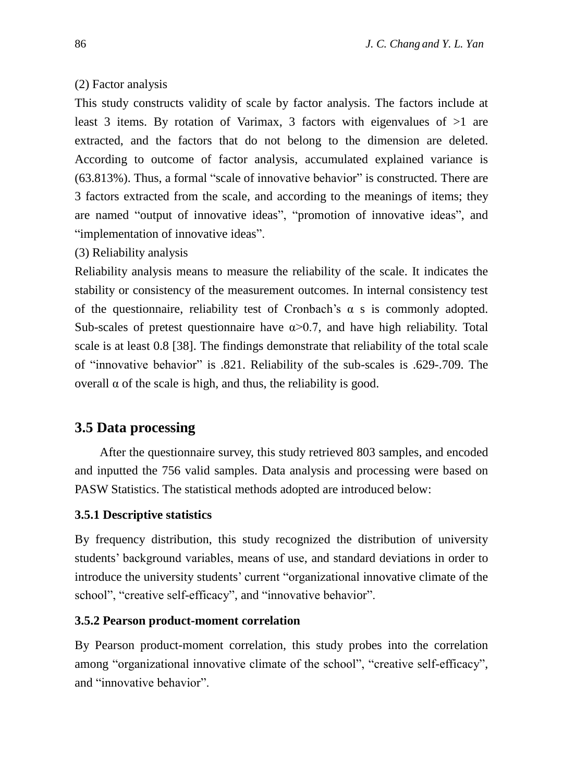#### (2) Factor analysis

This study constructs validity of scale by factor analysis. The factors include at least 3 items. By rotation of Varimax, 3 factors with eigenvalues of  $>1$  are extracted, and the factors that do not belong to the dimension are deleted. According to outcome of factor analysis, accumulated explained variance is (63.813%). Thus, a formal "scale of innovative behavior" is constructed. There are 3 factors extracted from the scale, and according to the meanings of items; they are named "output of innovative ideas", "promotion of innovative ideas", and "implementation of innovative ideas".

#### (3) Reliability analysis

Reliability analysis means to measure the reliability of the scale. It indicates the stability or consistency of the measurement outcomes. In internal consistency test of the questionnaire, reliability test of Cronbach's  $\alpha$  s is commonly adopted. Sub-scales of pretest questionnaire have  $\alpha$  > 0.7, and have high reliability. Total scale is at least 0.8 [38]. The findings demonstrate that reliability of the total scale of "innovative behavior" is .821. Reliability of the sub-scales is .629-.709. The overall α of the scale is high, and thus, the reliability is good.

#### **3.5 Data processing**

After the questionnaire survey, this study retrieved 803 samples, and encoded and inputted the 756 valid samples. Data analysis and processing were based on PASW Statistics. The statistical methods adopted are introduced below:

#### **3.5.1 Descriptive statistics**

By frequency distribution, this study recognized the distribution of university students' background variables, means of use, and standard deviations in order to introduce the university students' current "organizational innovative climate of the school", "creative self-efficacy", and "innovative behavior".

#### **3.5.2 Pearson product-moment correlation**

By Pearson product-moment correlation, this study probes into the correlation among "organizational innovative climate of the school", "creative self-efficacy", and "innovative behavior".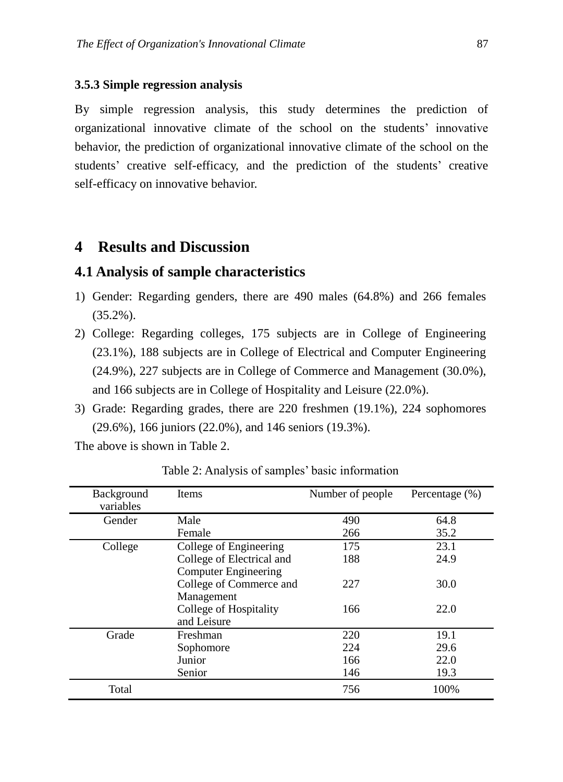#### **3.5.3 Simple regression analysis**

By simple regression analysis, this study determines the prediction of organizational innovative climate of the school on the students' innovative behavior, the prediction of organizational innovative climate of the school on the students' creative self-efficacy, and the prediction of the students' creative self-efficacy on innovative behavior.

## **4 Results and Discussion**

#### **4.1 Analysis of sample characteristics**

- 1) Gender: Regarding genders, there are 490 males (64.8%) and 266 females (35.2%).
- 2) College: Regarding colleges, 175 subjects are in College of Engineering (23.1%), 188 subjects are in College of Electrical and Computer Engineering (24.9%), 227 subjects are in College of Commerce and Management (30.0%), and 166 subjects are in College of Hospitality and Leisure (22.0%).
- 3) Grade: Regarding grades, there are 220 freshmen (19.1%), 224 sophomores (29.6%), 166 juniors (22.0%), and 146 seniors (19.3%).

The above is shown in Table 2.

| Background<br>variables | <b>Items</b>                | Number of people | Percentage $(\% )$ |
|-------------------------|-----------------------------|------------------|--------------------|
| Gender                  | Male                        | 490              | 64.8               |
|                         | Female                      | 266              | 35.2               |
| College                 | College of Engineering      | 175              | 23.1               |
|                         | College of Electrical and   | 188              | 24.9               |
|                         | <b>Computer Engineering</b> |                  |                    |
|                         | College of Commerce and     | 227              | 30.0               |
|                         | Management                  |                  |                    |
|                         | College of Hospitality      | 166              | 22.0               |
|                         | and Leisure                 |                  |                    |
| Grade                   | Freshman                    | 220              | 19.1               |
|                         | Sophomore                   | 224              | 29.6               |
|                         | Junior                      | 166              | 22.0               |
|                         | Senior                      | 146              | 19.3               |
| Total                   |                             | 756              | 100%               |

Table 2: Analysis of samples' basic information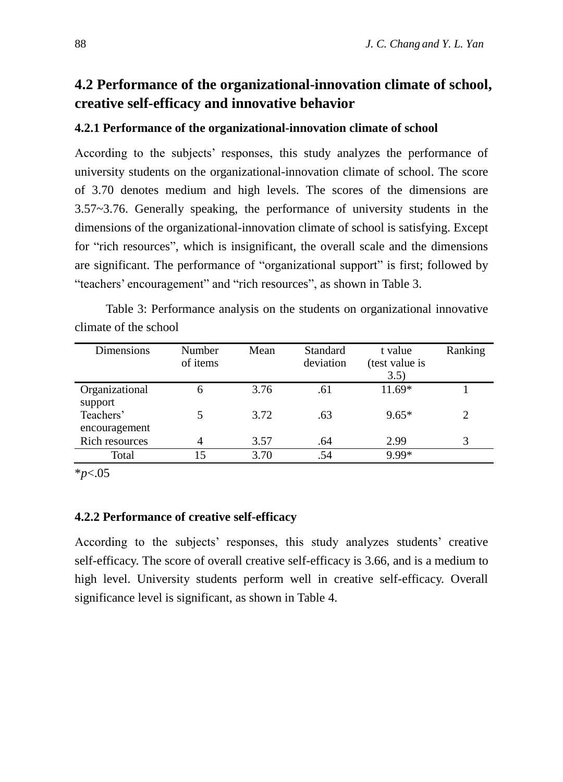# **4.2 Performance of the organizational-innovation climate of school, creative self-efficacy and innovative behavior**

#### **4.2.1 Performance of the organizational-innovation climate of school**

According to the subjects' responses, this study analyzes the performance of university students on the organizational-innovation climate of school. The score of 3.70 denotes medium and high levels. The scores of the dimensions are 3.57~3.76. Generally speaking, the performance of university students in the dimensions of the organizational-innovation climate of school is satisfying. Except for "rich resources", which is insignificant, the overall scale and the dimensions are significant. The performance of "organizational support" is first; followed by "teachers' encouragement" and "rich resources", as shown in Table 3.

Table 3: Performance analysis on the students on organizational innovative climate of the school

| Dimensions                 | Number<br>of items | Mean | Standard<br>deviation | t value<br>(test value is<br>3.5) | Ranking        |
|----------------------------|--------------------|------|-----------------------|-----------------------------------|----------------|
| Organizational<br>support  | 6                  | 3.76 | .61                   | $11.69*$                          |                |
| Teachers'<br>encouragement |                    | 3.72 | .63                   | $9.65*$                           | $\overline{2}$ |
| Rich resources             | 4                  | 3.57 | .64                   | 2.99                              | 3              |
| Total                      | 15                 | 3.70 | .54                   | $9.99*$                           |                |

\**p*<.05

#### **4.2.2 Performance of creative self-efficacy**

According to the subjects' responses, this study analyzes students' creative self-efficacy. The score of overall creative self-efficacy is 3.66, and is a medium to high level. University students perform well in creative self-efficacy. Overall significance level is significant, as shown in Table 4.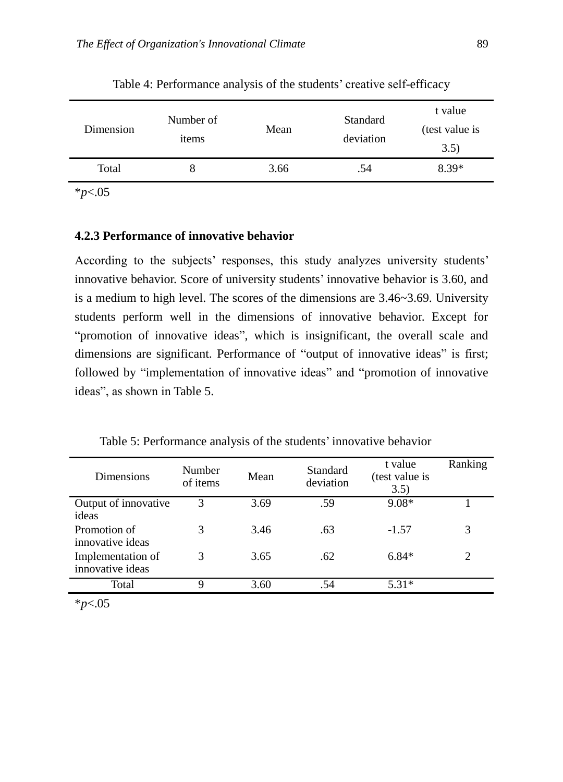| Dimension | Number of<br>items | Mean | <b>Standard</b><br>deviation | t value<br>(test value is<br>3.5) |
|-----------|--------------------|------|------------------------------|-----------------------------------|
| Total     |                    | 3.66 | .54                          | 8.39*                             |
|           |                    |      |                              |                                   |

Table 4: Performance analysis of the students' creative self-efficacy

\**p*<.05

#### **4.2.3 Performance of innovative behavior**

According to the subjects' responses, this study analyzes university students' innovative behavior. Score of university students' innovative behavior is 3.60, and is a medium to high level. The scores of the dimensions are 3.46~3.69. University students perform well in the dimensions of innovative behavior. Except for "promotion of innovative ideas", which is insignificant, the overall scale and dimensions are significant. Performance of "output of innovative ideas" is first; followed by "implementation of innovative ideas" and "promotion of innovative ideas", as shown in Table 5.

Table 5: Performance analysis of the students' innovative behavior

| <b>Dimensions</b>                     | Number<br>of items | Mean | Standard<br>deviation | t value<br>(test value is<br>3.5) | Ranking |
|---------------------------------------|--------------------|------|-----------------------|-----------------------------------|---------|
| Output of innovative<br>ideas         | 3                  | 3.69 | .59                   | $9.08*$                           |         |
| Promotion of<br>innovative ideas      |                    | 3.46 | .63                   | $-1.57$                           | 3       |
| Implementation of<br>innovative ideas | 3                  | 3.65 | .62                   | $6.84*$                           | 2       |
| Total                                 | Q                  | 3.60 | .54                   | $5.31*$                           |         |

\**p*<.05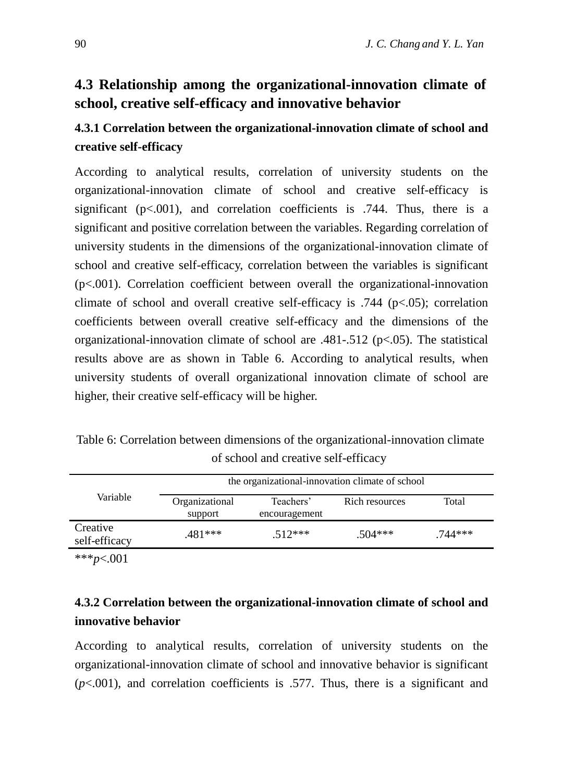# **4.3 Relationship among the organizational-innovation climate of school, creative self-efficacy and innovative behavior**

# **4.3.1 Correlation between the organizational-innovation climate of school and creative self-efficacy**

According to analytical results, correlation of university students on the organizational-innovation climate of school and creative self-efficacy is significant ( $p<.001$ ), and correlation coefficients is .744. Thus, there is a significant and positive correlation between the variables. Regarding correlation of university students in the dimensions of the organizational-innovation climate of school and creative self-efficacy, correlation between the variables is significant (p<.001). Correlation coefficient between overall the organizational-innovation climate of school and overall creative self-efficacy is  $.744$  ( $p<0.05$ ); correlation coefficients between overall creative self-efficacy and the dimensions of the organizational-innovation climate of school are .481-.512 (p<.05). The statistical results above are as shown in Table 6. According to analytical results, when university students of overall organizational innovation climate of school are higher, their creative self-efficacy will be higher.

Table 6: Correlation between dimensions of the organizational-innovation climate of school and creative self-efficacy

|                           | the organizational-innovation climate of school |                            |                |           |  |  |
|---------------------------|-------------------------------------------------|----------------------------|----------------|-----------|--|--|
| Variable                  | Organizational<br>support                       | Teachers'<br>encouragement | Rich resources | Total     |  |  |
| Creative<br>self-efficacy | .481***                                         | $512***$                   | $.504***$      | $.744***$ |  |  |

\*\*\**p*<.001

# **4.3.2 Correlation between the organizational-innovation climate of school and innovative behavior**

According to analytical results, correlation of university students on the organizational-innovation climate of school and innovative behavior is significant (*p*<.001), and correlation coefficients is .577. Thus, there is a significant and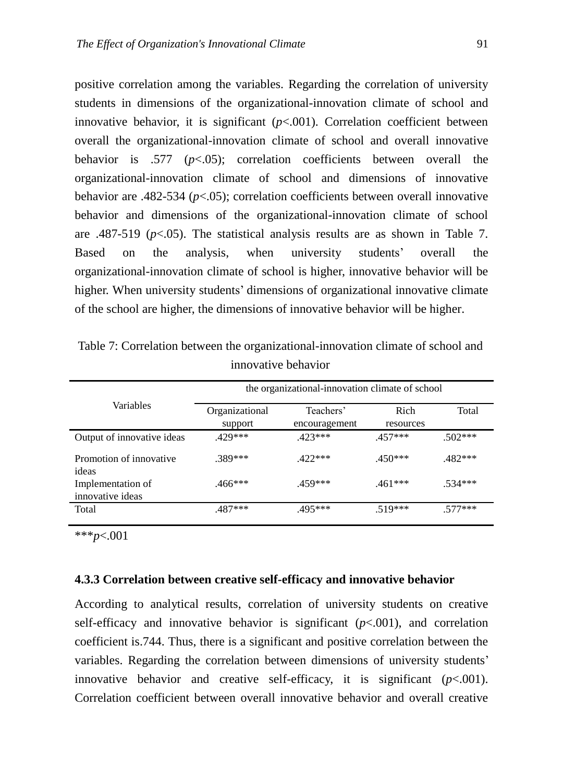positive correlation among the variables. Regarding the correlation of university students in dimensions of the organizational-innovation climate of school and innovative behavior, it is significant  $(p<.001)$ . Correlation coefficient between overall the organizational-innovation climate of school and overall innovative behavior is .577 (*p*<.05); correlation coefficients between overall the organizational-innovation climate of school and dimensions of innovative behavior are .482-534 ( $p$ <.05); correlation coefficients between overall innovative behavior and dimensions of the organizational-innovation climate of school are .487-519 ( $p<$ .05). The statistical analysis results are as shown in Table 7. Based on the analysis, when university students' overall the organizational-innovation climate of school is higher, innovative behavior will be higher. When university students' dimensions of organizational innovative climate of the school are higher, the dimensions of innovative behavior will be higher.

|                                       | the organizational-innovation climate of school |                            |                   |           |  |  |
|---------------------------------------|-------------------------------------------------|----------------------------|-------------------|-----------|--|--|
| Variables                             | Organizational<br>support                       | Teachers'<br>encouragement | Rich<br>resources | Total     |  |  |
| Output of innovative ideas            | $429***$                                        | $.423***$                  | $.457***$         | $.502***$ |  |  |
| Promotion of innovative<br>ideas      | .389***                                         | $422***$                   | $.450***$         | $.482***$ |  |  |
| Implementation of<br>innovative ideas | $.466***$                                       | $459***$                   | $.461***$         | $.534***$ |  |  |
| Total                                 | .487***                                         | .495***                    | $.519***$         | $.577***$ |  |  |

Table 7: Correlation between the organizational-innovation climate of school and innovative behavior

\*\*\**p*<.001

#### **4.3.3 Correlation between creative self-efficacy and innovative behavior**

According to analytical results, correlation of university students on creative self-efficacy and innovative behavior is significant  $(p<.001)$ , and correlation coefficient is.744. Thus, there is a significant and positive correlation between the variables. Regarding the correlation between dimensions of university students' innovative behavior and creative self-efficacy, it is significant  $(p<.001)$ . Correlation coefficient between overall innovative behavior and overall creative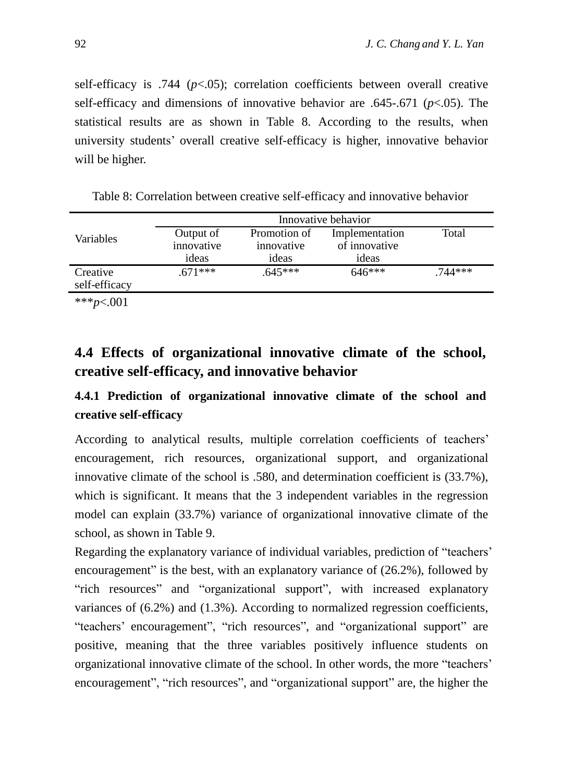self-efficacy is .744 (*p*<.05); correlation coefficients between overall creative self-efficacy and dimensions of innovative behavior are .645-.671 (*p*<.05). The statistical results are as shown in Table 8. According to the results, when university students' overall creative self-efficacy is higher, innovative behavior will be higher.

|                           | Innovative behavior |              |                |           |  |  |  |
|---------------------------|---------------------|--------------|----------------|-----------|--|--|--|
| Variables                 | Output of           | Promotion of | Implementation | Total     |  |  |  |
|                           | innovative          | innovative   | of innovative  |           |  |  |  |
|                           | ideas               | ideas        | ideas          |           |  |  |  |
| Creative<br>self-efficacy | $.671***$           | $.645***$    | $646***$       | $.744***$ |  |  |  |
| *** <i>p</i> <.001        |                     |              |                |           |  |  |  |

Table 8: Correlation between creative self-efficacy and innovative behavior

**4.4 Effects of organizational innovative climate of the school, creative self-efficacy, and innovative behavior** 

# **4.4.1 Prediction of organizational innovative climate of the school and creative self-efficacy**

According to analytical results, multiple correlation coefficients of teachers' encouragement, rich resources, organizational support, and organizational innovative climate of the school is .580, and determination coefficient is (33.7%), which is significant. It means that the 3 independent variables in the regression model can explain (33.7%) variance of organizational innovative climate of the school, as shown in Table 9.

Regarding the explanatory variance of individual variables, prediction of "teachers' encouragement" is the best, with an explanatory variance of (26.2%), followed by "rich resources" and "organizational support", with increased explanatory variances of (6.2%) and (1.3%). According to normalized regression coefficients, "teachers' encouragement", "rich resources", and "organizational support" are positive, meaning that the three variables positively influence students on organizational innovative climate of the school. In other words, the more "teachers' encouragement", "rich resources", and "organizational support" are, the higher the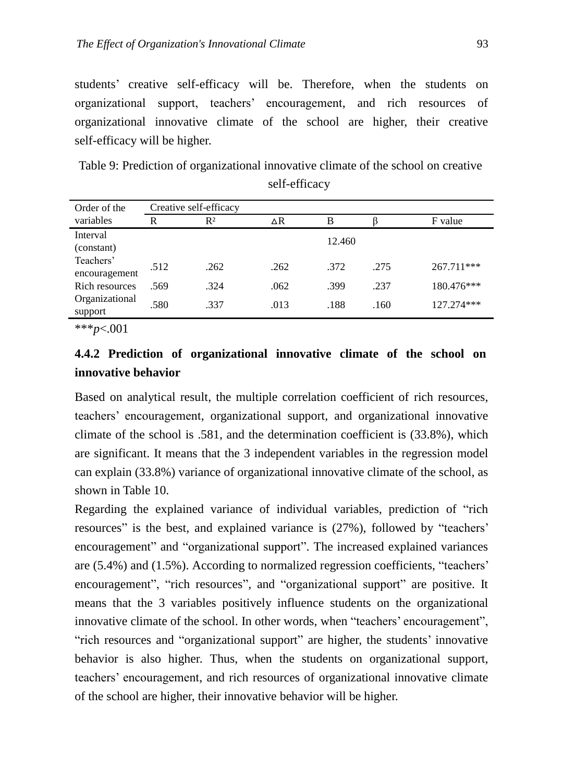students' creative self-efficacy will be. Therefore, when the students on organizational support, teachers' encouragement, and rich resources of organizational innovative climate of the school are higher, their creative self-efficacy will be higher.

Table 9: Prediction of organizational innovative climate of the school on creative self-efficacy

| Order of the               | Creative self-efficacy |       |            |        |      |            |
|----------------------------|------------------------|-------|------------|--------|------|------------|
| variables                  | R                      | $R^2$ | $\Delta R$ | В      |      | F value    |
| Interval<br>(constant)     |                        |       |            | 12.460 |      |            |
| Teachers'<br>encouragement | .512                   | .262  | .262       | .372   | .275 | 267.711*** |
| Rich resources             | .569                   | .324  | .062       | .399   | .237 | 180.476*** |
| Organizational<br>support  | .580                   | .337  | .013       | .188   | .160 | 127.274*** |
|                            |                        |       |            |        |      |            |

\*\*\**p*<.001

# **4.4.2 Prediction of organizational innovative climate of the school on innovative behavior**

Based on analytical result, the multiple correlation coefficient of rich resources, teachers' encouragement, organizational support, and organizational innovative climate of the school is .581, and the determination coefficient is (33.8%), which are significant. It means that the 3 independent variables in the regression model can explain (33.8%) variance of organizational innovative climate of the school, as shown in Table 10.

Regarding the explained variance of individual variables, prediction of "rich resources" is the best, and explained variance is (27%), followed by "teachers' encouragement" and "organizational support". The increased explained variances are (5.4%) and (1.5%). According to normalized regression coefficients, "teachers' encouragement", "rich resources", and "organizational support" are positive. It means that the 3 variables positively influence students on the organizational innovative climate of the school. In other words, when "teachers' encouragement", "rich resources and "organizational support" are higher, the students' innovative behavior is also higher. Thus, when the students on organizational support, teachers' encouragement, and rich resources of organizational innovative climate of the school are higher, their innovative behavior will be higher.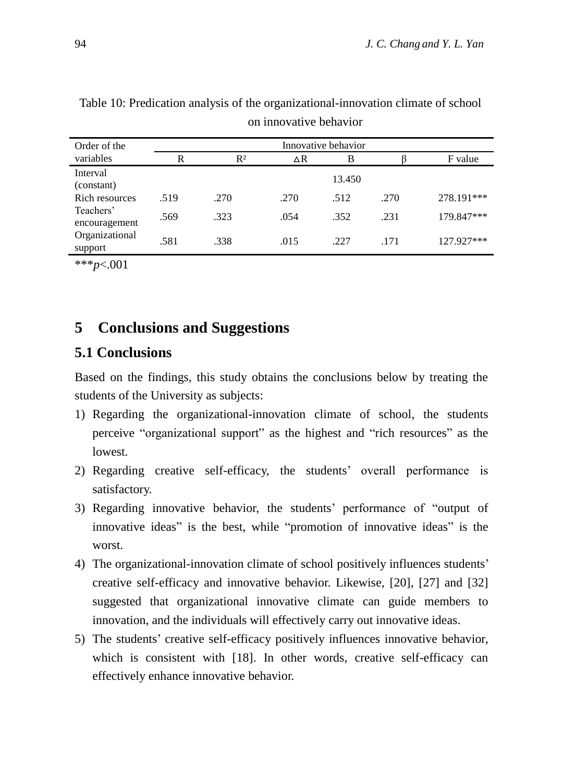| Order of the               | Innovative behavior |       |      |        |      |            |
|----------------------------|---------------------|-------|------|--------|------|------------|
| variables                  | R                   | $R^2$ | ΔR   | B      |      | F value    |
| Interval<br>(constant)     |                     |       |      | 13.450 |      |            |
| Rich resources             | .519                | .270  | .270 | .512   | .270 | 278.191*** |
| Teachers'<br>encouragement | .569                | .323  | .054 | .352   | .231 | 179.847*** |
| Organizational<br>support  | .581                | .338  | .015 | .227   | .171 | 127.927*** |

Table 10: Predication analysis of the organizational-innovation climate of school on innovative behavior

\*\*\**p*<.001

# **5 Conclusions and Suggestions**

#### **5.1 Conclusions**

Based on the findings, this study obtains the conclusions below by treating the students of the University as subjects:

- 1) Regarding the organizational-innovation climate of school, the students perceive "organizational support" as the highest and "rich resources" as the lowest.
- 2) Regarding creative self-efficacy, the students' overall performance is satisfactory.
- 3) Regarding innovative behavior, the students' performance of "output of innovative ideas" is the best, while "promotion of innovative ideas" is the worst.
- 4) The organizational-innovation climate of school positively influences students' creative self-efficacy and innovative behavior. Likewise, [20], [27] and [32] suggested that organizational innovative climate can guide members to innovation, and the individuals will effectively carry out innovative ideas.
- 5) The students' creative self-efficacy positively influences innovative behavior, which is consistent with [18]. In other words, creative self-efficacy can effectively enhance innovative behavior.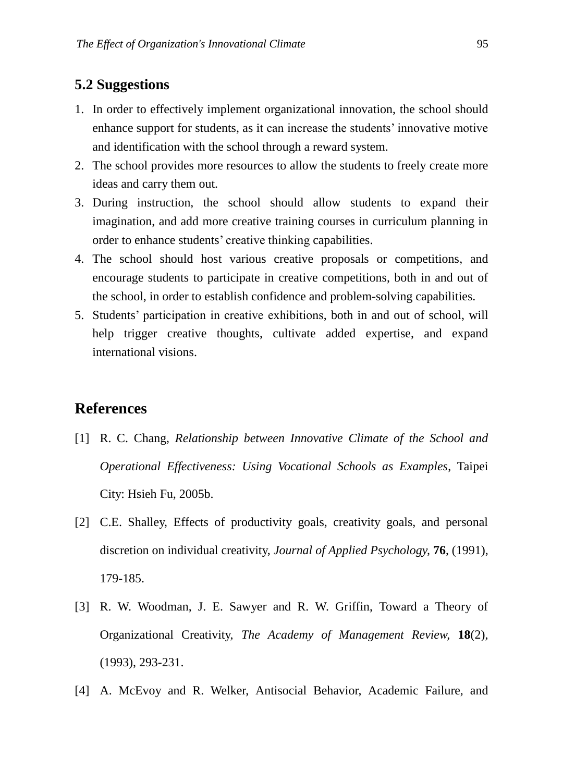## **5.2 Suggestions**

- 1. In order to effectively implement organizational innovation, the school should enhance support for students, as it can increase the students' innovative motive and identification with the school through a reward system.
- 2. The school provides more resources to allow the students to freely create more ideas and carry them out.
- 3. During instruction, the school should allow students to expand their imagination, and add more creative training courses in curriculum planning in order to enhance students' creative thinking capabilities.
- 4. The school should host various creative proposals or competitions, and encourage students to participate in creative competitions, both in and out of the school, in order to establish confidence and problem-solving capabilities.
- 5. Students' participation in creative exhibitions, both in and out of school, will help trigger creative thoughts, cultivate added expertise, and expand international visions.

# **References**

- [1] R. C. Chang, *Relationship between Innovative Climate of the School and Operational Effectiveness: Using Vocational Schools as Examples*, Taipei City: Hsieh Fu, 2005b.
- [2] C.E. Shalley, Effects of productivity goals, creativity goals, and personal discretion on individual creativity, *Journal of Applied Psychology,* **76**, (1991), 179-185.
- [3] R. W. Woodman, J. E. Sawyer and R. W. Griffin, Toward a Theory of Organizational Creativity, *The Academy of Management Review,* **18**(2), (1993), 293-231.
- [4] A. McEvoy and R. Welker, Antisocial Behavior, Academic Failure, and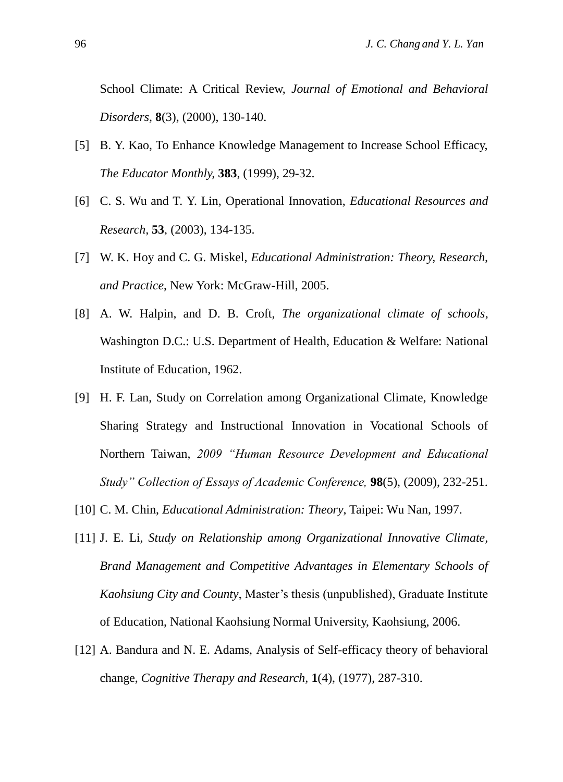School Climate: A Critical Review, *Journal of Emotional and Behavioral Disorders,* **8**(3), (2000), 130-140.

- [5] B. Y. Kao, To Enhance Knowledge Management to Increase School Efficacy, *The Educator Monthly,* **383**, (1999), 29-32.
- [6] C. S. Wu and T. Y. Lin, Operational Innovation, *Educational Resources and Research,* **53**, (2003), 134-135.
- [7] W. K. Hoy and C. G. Miskel, *Educational Administration: Theory, Research, and Practice*, New York: McGraw-Hill, 2005.
- [8] A. W. Halpin, and D. B. Croft, *The organizational climate of schools*, Washington D.C.: U.S. Department of Health, Education & Welfare: National Institute of Education, 1962.
- [9] H. F. Lan, Study on Correlation among Organizational Climate, Knowledge Sharing Strategy and Instructional Innovation in Vocational Schools of Northern Taiwan, *2009 "Human Resource Development and Educational Study" Collection of Essays of Academic Conference,* **98**(5), (2009), 232-251.
- [10] C. M. Chin, *Educational Administration: Theory*, Taipei: Wu Nan, 1997.
- [11] J. E. Li, *Study on Relationship among Organizational Innovative Climate, Brand Management and Competitive Advantages in Elementary Schools of Kaohsiung City and County*, Master's thesis (unpublished), Graduate Institute of Education, National Kaohsiung Normal University, Kaohsiung, 2006.
- [12] A. Bandura and N. E. Adams, Analysis of Self-efficacy theory of behavioral change, *Cognitive Therapy and Research,* **1**(4), (1977), 287-310.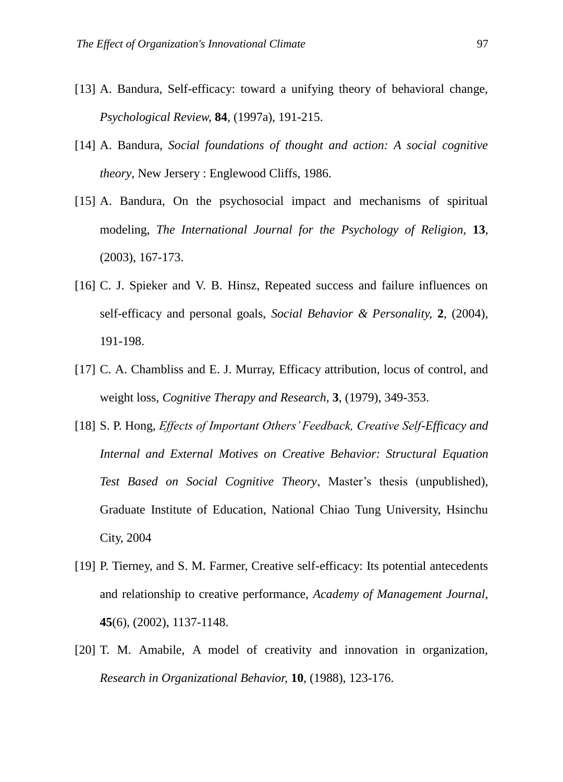- [13] A. Bandura, Self-efficacy: toward a unifying theory of behavioral change, *Psychological Review,* **84**, (1997a), 191-215.
- [14] A. Bandura, *Social foundations of thought and action: A social cognitive theory*, New Jersery : Englewood Cliffs, 1986.
- [15] A. Bandura, On the psychosocial impact and mechanisms of spiritual modeling, *The International Journal for the Psychology of Religion,* **13**, (2003), 167-173.
- [16] C. J. Spieker and V. B. Hinsz, Repeated success and failure influences on self-efficacy and personal goals, *Social Behavior & Personality,* **2**, (2004), 191-198.
- [17] C. A. Chambliss and E. J. Murray, Efficacy attribution, locus of control, and weight loss, *Cognitive Therapy and Research,* **3**, (1979), 349-353.
- [18] S. P. Hong, *Effects of Important Others' Feedback, Creative Self-Efficacy and Internal and External Motives on Creative Behavior: Structural Equation Test Based on Social Cognitive Theory*, Master's thesis (unpublished), Graduate Institute of Education, National Chiao Tung University, Hsinchu City, 2004
- [19] P. Tierney, and S. M. Farmer, Creative self-efficacy: Its potential antecedents and relationship to creative performance, *Academy of Management Journal,*  **45**(6), (2002), 1137-1148.
- [20] T. M. Amabile, A model of creativity and innovation in organization, *Research in Organizational Behavior,* **10**, (1988), 123-176.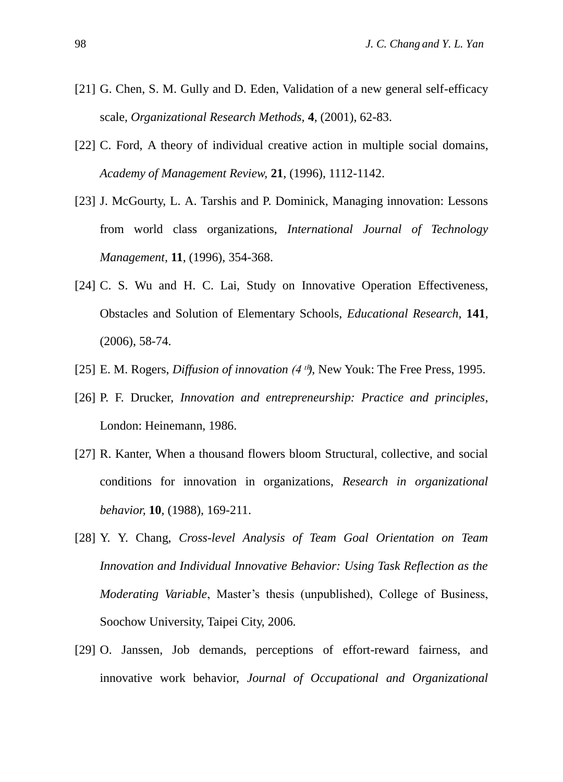- [21] G. Chen, S. M. Gully and D. Eden, Validation of a new general self-efficacy scale, *Organizational Research Methods,* **4**, (2001), 62-83.
- [22] C. Ford, A theory of individual creative action in multiple social domains, *Academy of Management Review,* **21**, (1996), 1112-1142.
- [23] J. McGourty, L. A. Tarshis and P. Dominick, Managing innovation: Lessons from world class organizations, *International Journal of Technology Management,* **11**, (1996), 354-368.
- [24] C. S. Wu and H. C. Lai, Study on Innovative Operation Effectiveness, Obstacles and Solution of Elementary Schools, *Educational Research,* **141**, (2006), 58-74.
- [25] E. M. Rogers, *Diffusion of innovation* (4<sup>th</sup>), New Youk: The Free Press, 1995.
- [26] P. F. Drucker, *Innovation and entrepreneurship: Practice and principles*, London: Heinemann, 1986.
- [27] R. Kanter, When a thousand flowers bloom Structural, collective, and social conditions for innovation in organizations, *Research in organizational behavior,* **10**, (1988), 169-211.
- [28] Y. Y. Chang, *Cross-level Analysis of Team Goal Orientation on Team Innovation and Individual Innovative Behavior: Using Task Reflection as the Moderating Variable*, Master's thesis (unpublished), College of Business, Soochow University, Taipei City, 2006.
- [29] O. Janssen, Job demands, perceptions of effort-reward fairness, and innovative work behavior, *Journal of Occupational and Organizational*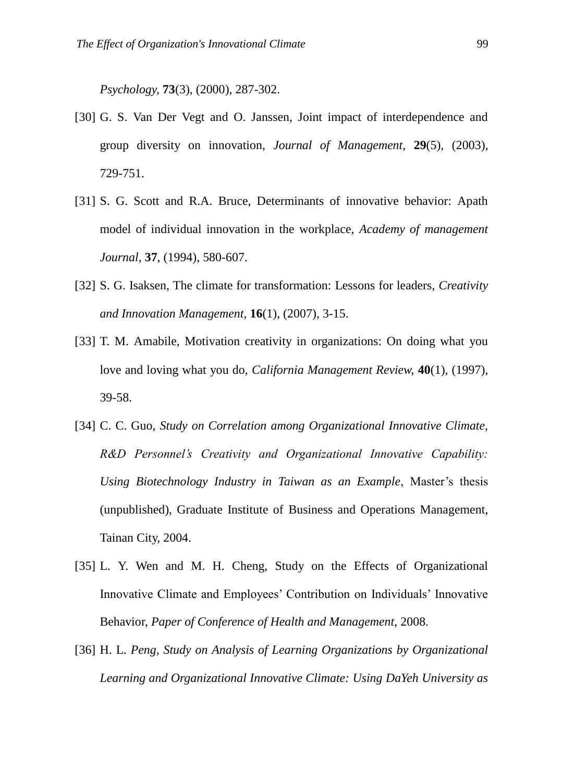*Psychology,* **73**(3), (2000), 287-302.

- [30] G. S. Van Der Vegt and O. Janssen, Joint impact of interdependence and group diversity on innovation, *Journal of Management,* **29**(5), (2003), 729-751.
- [31] S. G. Scott and R.A. Bruce, Determinants of innovative behavior: Apath model of individual innovation in the workplace, *Academy of management Journal,* **37**, (1994), 580-607.
- [32] S. G. Isaksen, The climate for transformation: Lessons for leaders, *Creativity and Innovation Management,* **16**(1), (2007), 3-15.
- [33] T. M. Amabile, Motivation creativity in organizations: On doing what you love and loving what you do, *California Management Review,* **40**(1), (1997), 39-58.
- [34] C. C. Guo, *Study on Correlation among Organizational Innovative Climate, R&D Personnel's Creativity and Organizational Innovative Capability: Using Biotechnology Industry in Taiwan as an Example*, Master's thesis (unpublished), Graduate Institute of Business and Operations Management, Tainan City, 2004.
- [35] L. Y. Wen and M. H. Cheng, Study on the Effects of Organizational Innovative Climate and Employees' Contribution on Individuals' Innovative Behavior, *Paper of Conference of Health and Management*, 2008.
- [36] H. L. *Peng, Study on Analysis of Learning Organizations by Organizational Learning and Organizational Innovative Climate: Using DaYeh University as*